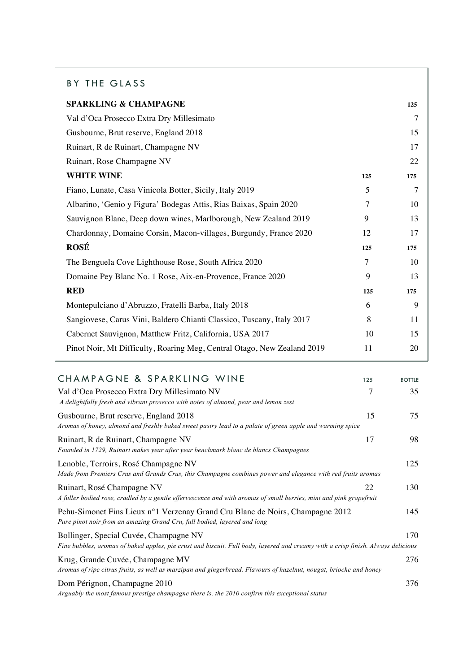## BY THE GLASS

| <b>SPARKLING &amp; CHAMPAGNE</b>                                        |     | 125 |
|-------------------------------------------------------------------------|-----|-----|
| Val d'Oca Prosecco Extra Dry Millesimato                                |     | 7   |
| Gusbourne, Brut reserve, England 2018                                   |     | 15  |
| Ruinart, R de Ruinart, Champagne NV                                     |     | 17  |
| Ruinart, Rose Champagne NV                                              |     | 22  |
| <b>WHITE WINE</b>                                                       | 125 | 175 |
| Fiano, Lunate, Casa Vinicola Botter, Sicily, Italy 2019                 | 5   | 7   |
| Albarino, 'Genio y Figura' Bodegas Attis, Rias Baixas, Spain 2020       | 7   | 10  |
| Sauvignon Blanc, Deep down wines, Marlborough, New Zealand 2019         | 9   | 13  |
| Chardonnay, Domaine Corsin, Macon-villages, Burgundy, France 2020       | 12  | 17  |
| <b>ROSÉ</b>                                                             | 125 | 175 |
| The Benguela Cove Lighthouse Rose, South Africa 2020                    | 7   | 10  |
| Domaine Pey Blanc No. 1 Rose, Aix-en-Provence, France 2020              | 9   | 13  |
| <b>RED</b>                                                              | 125 | 175 |
| Montepulciano d'Abruzzo, Fratelli Barba, Italy 2018                     | 6   | 9   |
| Sangiovese, Carus Vini, Baldero Chianti Classico, Tuscany, Italy 2017   | 8   | 11  |
| Cabernet Sauvignon, Matthew Fritz, California, USA 2017                 | 10  | 15  |
| Pinot Noir, Mt Difficulty, Roaring Meg, Central Otago, New Zealand 2019 | 11  | 20  |
|                                                                         |     |     |

| CHAMPAGNE & SPARKLING WINE                                                                                                                                                 | 125 | <b>BOTTLE</b> |
|----------------------------------------------------------------------------------------------------------------------------------------------------------------------------|-----|---------------|
| Val d'Oca Prosecco Extra Dry Millesimato NV<br>A delightfully fresh and vibrant prosecco with notes of almond, pear and lemon zest                                         | 7   | 35            |
| Gusbourne, Brut reserve, England 2018<br>Aromas of honey, almond and freshly baked sweet pastry lead to a palate of green apple and warming spice                          | 15  | 75            |
| Ruinart, R de Ruinart, Champagne NV<br>Founded in 1729, Ruinart makes year after year benchmark blanc de blancs Champagnes                                                 | 17  | 98            |
| Lenoble, Terroirs, Rosé Champagne NV<br>Made from Premiers Crus and Grands Crus, this Champagne combines power and elegance with red fruits aromas                         |     | 125           |
| Ruinart, Rosé Champagne NV<br>A fuller bodied rose, cradled by a gentle effervescence and with aromas of small berries, mint and pink grapefruit                           | 22  | 130           |
| Pehu-Simonet Fins Lieux n°1 Verzenay Grand Cru Blanc de Noirs, Champagne 2012<br>Pure pinot noir from an amazing Grand Cru, full bodied, layered and long                  |     | 145           |
| Bollinger, Special Cuvée, Champagne NV<br>Fine bubbles, aromas of baked apples, pie crust and biscuit. Full body, layered and creamy with a crisp finish. Always delicious |     | 170           |
| Krug, Grande Cuvée, Champagne MV<br>Aromas of ripe citrus fruits, as well as marzipan and gingerbread. Flavours of hazelnut, nougat, brioche and honey                     |     | 276           |
| Dom Pérignon, Champagne 2010<br>Arguably the most famous prestige champagne there is, the 2010 confirm this exceptional status                                             |     | 376           |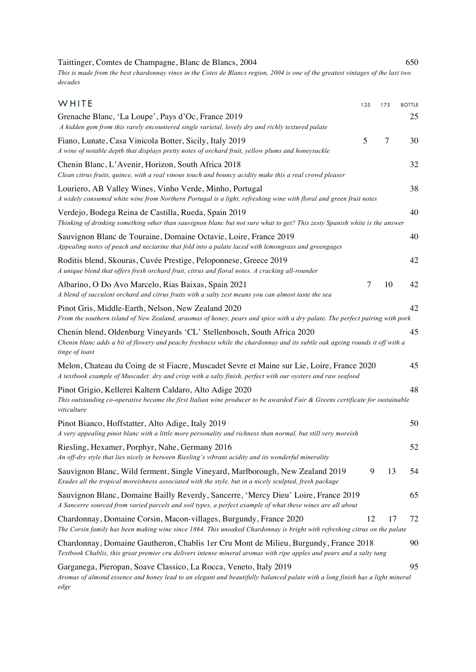Taittinger, Comtes de Champagne, Blanc de Blancs, 2004 650 *This is made from the best chardonnay vines in the Cotes de Blancs region, 2004 is one of the greatest vintages of the last two decades*

| WHITE                                                                                                                                                                                                                   | 125 | 175 | <b>BOTTLE</b> |
|-------------------------------------------------------------------------------------------------------------------------------------------------------------------------------------------------------------------------|-----|-----|---------------|
| Grenache Blanc, 'La Loupe', Pays d'Oc, France 2019<br>A hidden gem from this rarely encountered single varietal, lovely dry and richly textured palate                                                                  |     |     | 25            |
| Fiano, Lunate, Casa Vinicola Botter, Sicily, Italy 2019<br>A wine of notable depth that displays pretty notes of orchard fruit, yellow plums and honeysuckle                                                            | 5   | 7   | 30            |
| Chenin Blanc, L'Avenir, Horizon, South Africa 2018<br>Clean citrus fruits, quince, with a real vinous touch and bouncy acidity make this a real crowd pleaser                                                           |     |     | 32            |
| Louriero, AB Valley Wines, Vinho Verde, Minho, Portugal<br>A widely consumed white wine from Northern Portugal is a light, refreshing wine with floral and green fruit notes                                            |     |     | 38            |
| Verdejo, Bodega Reina de Castilla, Rueda, Spain 2019<br>Thinking of drinking something other than sauvignon blanc but not sure what to get? This zesty Spanish white is the answer                                      |     |     | 40            |
| Sauvignon Blanc de Touraine, Domaine Octavie, Loire, France 2019<br>Appealing notes of peach and nectarine that fold into a palate laced with lemongrass and greengages                                                 |     |     | 40            |
| Roditis blend, Skouras, Cuvée Prestige, Peloponnese, Greece 2019<br>A unique blend that offers fresh orchard fruit, citrus and floral notes. A cracking all-rounder                                                     |     |     | 42            |
| Albarino, O Do Avo Marcelo, Rias Baixas, Spain 2021<br>A blend of succulent orchard and citrus fruits with a salty zest means you can almost taste the sea                                                              | 7   | 10  | 42            |
| Pinot Gris, Middle-Earth, Nelson, New Zealand 2020<br>From the southern island of New Zealand, araomas of honey, pears and spice with a dry palate. The perfect pairing with pork                                       |     |     | 42            |
| Chenin blend, Oldenburg Vineyards 'CL' Stellenbosch, South Africa 2020<br>Chenin blanc adds a bit of flowery and peachy freshness while the chardonnay and its subtle oak ageing rounds it off with a<br>tinge of toast |     |     | 45            |
| Melon, Chateau du Coing de st Fiacre, Muscadet Sevre et Maine sur Lie, Loire, France 2020<br>A textbook example of Muscadet: dry and crisp with a salty finish, perfect with our oysters and raw seafood                |     |     | 45            |
| Pinot Grigio, Kellerei Kaltern Caldaro, Alto Adige 2020<br>This outstanding co-operative became the first Italian wine producer to be awarded Fair & Greens certificate for sustainable<br>viticulture                  |     |     | 48            |
| Pinot Bianco, Hoffstatter, Alto Adige, Italy 2019<br>A very appealing pinot blanc with a little more personality and richness than normal, but still very moreish                                                       |     |     | 50            |
| Riesling, Hexamer, Porphyr, Nahe, Germany 2016<br>An off-dry style that lies nicely in between Riesling's vibrant acidity and its wonderful minerality                                                                  |     |     | 52            |
| Sauvignon Blanc, Wild ferment, Single Vineyard, Marlborough, New Zealand 2019<br>Exudes all the tropical moreishness associated with the style, but in a nicely sculpted, fresh package                                 | 9   | 13  | 54            |
| Sauvignon Blanc, Domaine Bailly Reverdy, Sancerre, 'Mercy Dieu' Loire, France 2019<br>A Sancerre sourced from varied parcels and soil types, a perfect example of what these wines are all about                        |     |     | 65            |
| Chardonnay, Domaine Corsin, Macon-villages, Burgundy, France 2020<br>The Corsin family has been making wine since 1864. This unoaked Chardonnay is bright with refreshing citrus on the palate                          | 12  | 17  | 72            |
| Chardonnay, Domaine Gautheron, Chablis 1 er Cru Mont de Milieu, Burgundy, France 2018<br>Textbook Chablis, this great premier cru delivers intense mineral aromas with ripe apples and pears and a salty tang           |     |     | 90            |
| Garganega, Pieropan, Soave Classico, La Rocca, Veneto, Italy 2019<br>Aromas of almond essence and honey lead to an elegant and beautifully balanced palate with a long finish has a light mineral<br>edge               |     |     | 95            |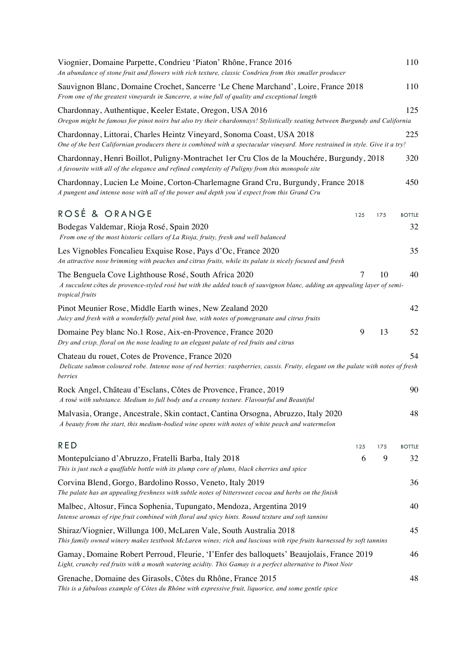| Viognier, Domaine Parpette, Condrieu 'Piaton' Rhône, France 2016<br>An abundance of stone fruit and flowers with rich texture, classic Condrieu from this smaller producer                             |     |     | 110           |
|--------------------------------------------------------------------------------------------------------------------------------------------------------------------------------------------------------|-----|-----|---------------|
| Sauvignon Blanc, Domaine Crochet, Sancerre 'Le Chene Marchand', Loire, France 2018<br>From one of the greatest vineyards in Sancerre, a wine full of quality and exceptional length                    |     |     | 110           |
| Chardonnay, Authentique, Keeler Estate, Oregon, USA 2016<br>Oregon might be famous for pinot noirs but also try their chardonnays! Stylistically seating between Burgundy and California               |     |     | 125           |
| Chardonnay, Littorai, Charles Heintz Vineyard, Sonoma Coast, USA 2018<br>One of the best Californian producers there is combined with a spectacular vineyard. More restrained in style. Give it a try! |     |     | 225           |
| Chardonnay, Henri Boillot, Puligny-Montrachet 1 er Cru Clos de la Mouchére, Burgundy, 2018<br>A favourite with all of the elegance and refined complexity of Puligny from this monopole site           |     |     | 320           |
| Chardonnay, Lucien Le Moine, Corton-Charlemagne Grand Cru, Burgundy, France 2018<br>A pungent and intense nose with all of the power and depth you'd expect from this Grand Cru                        |     |     | 450           |
| ROSÉ & ORANGE                                                                                                                                                                                          | 125 | 175 | <b>BOTTLE</b> |
| Bodegas Valdemar, Rioja Rosé, Spain 2020<br>From one of the most historic cellars of La Rioja, fruity, fresh and well balanced                                                                         |     |     | 32            |
| Les Vignobles Foncalieu Exquise Rose, Pays d'Oc, France 2020<br>An attractive nose brimming with peaches and citrus fruits, while its palate is nicely focused and fresh                               |     |     | 35            |
| The Benguela Cove Lighthouse Rosé, South Africa 2020<br>A succulent côtes de provence-styled rosé but with the added touch of sauvignon blanc, adding an appealing layer of semi-<br>tropical fruits   | 7   | 10  | 40            |
| Pinot Meunier Rose, Middle Earth wines, New Zealand 2020<br>Juicy and fresh with a wonderfully petal pink hue, with notes of pomegranate and citrus fruits                                             |     |     | 42            |
| Domaine Pey blanc No.1 Rose, Aix-en-Provence, France 2020<br>Dry and crisp, floral on the nose leading to an elegant palate of red fruits and citrus                                                   | 9   | 13  | 52            |
| Chateau du rouet, Cotes de Provence, France 2020<br>Delicate salmon coloured robe. Intense nose of red berries: raspberries, cassis. Fruity, elegant on the palate with notes of fresh<br>berries      |     |     | 54            |
| Rock Angel, Château d'Esclans, Côtes de Provence, France, 2019<br>A rosé with substance. Medium to full body and a creamy texture. Flavourful and Beautiful                                            |     |     | 90            |
| Malvasia, Orange, Ancestrale, Skin contact, Cantina Orsogna, Abruzzo, Italy 2020<br>A beauty from the start, this medium-bodied wine opens with notes of white peach and watermelon                    |     |     | 48            |
| <b>RED</b>                                                                                                                                                                                             | 125 | 175 | <b>BOTTLE</b> |
| Montepulciano d'Abruzzo, Fratelli Barba, Italy 2018<br>This is just such a quaffable bottle with its plump core of plums, black cherries and spice                                                     | 6   | 9   | 32            |
| Corvina Blend, Gorgo, Bardolino Rosso, Veneto, Italy 2019<br>The palate has an appealing freshness with subtle notes of bittersweet cocoa and herbs on the finish                                      |     |     | 36            |
| Malbec, Altosur, Finca Sophenia, Tupungato, Mendoza, Argentina 2019<br>Intense aromas of ripe fruit combined with floral and spicy hints. Round texture and soft tannins                               |     |     | 40            |
| Shiraz/Viognier, Willunga 100, McLaren Vale, South Australia 2018<br>This family owned winery makes textbook McLaren wines; rich and luscious with ripe fruits harnessed by soft tannins               |     |     | 45            |
| Gamay, Domaine Robert Perroud, Fleurie, 'l'Enfer des balloquets' Beaujolais, France 2019<br>Light, crunchy red fruits with a mouth watering acidity. This Gamay is a perfect alternative to Pinot Noir |     |     | 46            |
| Grenache, Domaine des Girasols, Côtes du Rhône, France 2015<br>This is a fabulous example of Côtes du Rhône with expressive fruit, liquorice, and some gentle spice                                    |     |     | 48            |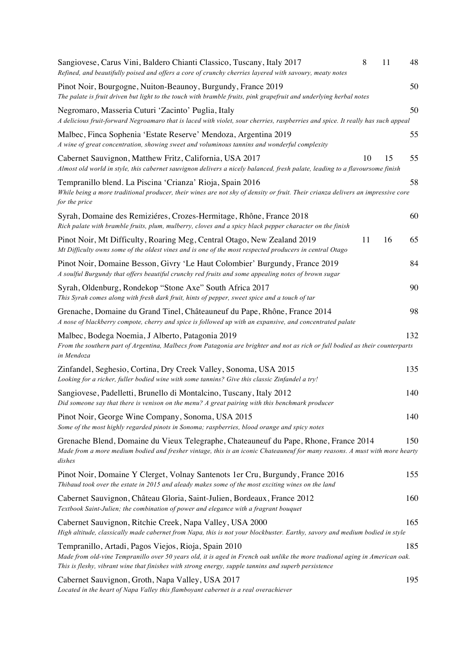| Sangiovese, Carus Vini, Baldero Chianti Classico, Tuscany, Italy 2017<br>Refined, and beautifully poised and offers a core of crunchy cherries layered with savoury, meaty notes                                                                                                            | 8  | 11 | 48  |
|---------------------------------------------------------------------------------------------------------------------------------------------------------------------------------------------------------------------------------------------------------------------------------------------|----|----|-----|
| Pinot Noir, Bourgogne, Nuiton-Beaunoy, Burgundy, France 2019<br>The palate is fruit driven but light to the touch with bramble fruits, pink grapefruit and underlying herbal notes                                                                                                          |    |    | 50  |
| Negromaro, Masseria Cuturi 'Zacinto' Puglia, Italy<br>A delicious fruit-forward Negroamaro that is laced with violet, sour cherries, raspberries and spice. It really has such appeal                                                                                                       |    |    | 50  |
| Malbec, Finca Sophenia 'Estate Reserve' Mendoza, Argentina 2019<br>A wine of great concentration, showing sweet and voluminous tannins and wonderful complexity                                                                                                                             |    |    | 55  |
| Cabernet Sauvignon, Matthew Fritz, California, USA 2017<br>Almost old world in style, this cabernet sauvignon delivers a nicely balanced, fresh palate, leading to a flavoursome finish                                                                                                     | 10 | 15 | 55  |
| Tempranillo blend. La Piscina 'Crianza' Rioja, Spain 2016<br>While being a more traditional producer, their wines are not shy of density or fruit. Their crianza delivers an impressive core<br>for the price                                                                               |    |    | 58  |
| Syrah, Domaine des Remiziéres, Crozes-Hermitage, Rhône, France 2018<br>Rich palate with bramble fruits, plum, mulberry, cloves and a spicy black pepper character on the finish                                                                                                             |    |    | 60  |
| Pinot Noir, Mt Difficulty, Roaring Meg, Central Otago, New Zealand 2019<br>Mt Difficulty owns some of the oldest vines and is one of the most respected producers in central Otago                                                                                                          | 11 | 16 | 65  |
| Pinot Noir, Domaine Besson, Givry 'Le Haut Colombier' Burgundy, France 2019<br>A soulful Burgundy that offers beautiful crunchy red fruits and some appealing notes of brown sugar                                                                                                          |    |    | 84  |
| Syrah, Oldenburg, Rondekop "Stone Axe" South Africa 2017<br>This Syrah comes along with fresh dark fruit, hints of pepper, sweet spice and a touch of tar                                                                                                                                   |    |    | 90  |
| Grenache, Domaine du Grand Tinel, Châteauneuf du Pape, Rhône, France 2014<br>A nose of blackberry compote, cherry and spice is followed up with an expansive, and concentrated palate                                                                                                       |    |    | 98  |
| Malbec, Bodega Noemia, J Alberto, Patagonia 2019<br>From the southern part of Argentina, Malbecs from Patagonia are brighter and not as rich or full bodied as their counterparts<br>in Mendoza                                                                                             |    |    | 132 |
| Zinfandel, Seghesio, Cortina, Dry Creek Valley, Sonoma, USA 2015<br>Looking for a richer, fuller bodied wine with some tannins? Give this classic Zinfandel a try!                                                                                                                          |    |    | 135 |
| Sangiovese, Padelletti, Brunello di Montalcino, Tuscany, Italy 2012<br>Did someone say that there is venison on the menu? A great pairing with this benchmark producer                                                                                                                      |    |    | 140 |
| Pinot Noir, George Wine Company, Sonoma, USA 2015<br>Some of the most highly regarded pinots in Sonoma; raspberries, blood orange and spicy notes                                                                                                                                           |    |    | 140 |
| Grenache Blend, Domaine du Vieux Telegraphe, Chateauneuf du Pape, Rhone, France 2014<br>Made from a more medium bodied and fresher vintage, this is an iconic Chateauneuf for many reasons. A must with more hearty<br>dishes                                                               |    |    | 150 |
| Pinot Noir, Domaine Y Clerget, Volnay Santenots 1 er Cru, Burgundy, France 2016<br>Thibaud took over the estate in 2015 and aleady makes some of the most exciting wines on the land                                                                                                        |    |    | 155 |
| Cabernet Sauvignon, Château Gloria, Saint-Julien, Bordeaux, France 2012<br>Textbook Saint-Julien; the combination of power and elegance with a fragrant bouquet                                                                                                                             |    |    | 160 |
| Cabernet Sauvignon, Ritchie Creek, Napa Valley, USA 2000<br>High altitude, classically made cabernet from Napa, this is not your blockbuster. Earthy, savory and medium bodied in style                                                                                                     |    |    | 165 |
| Tempranillo, Artadi, Pagos Viejos, Rioja, Spain 2010<br>Made from old-vine Tempranillo over 50 years old, it is aged in French oak unlike the more tradional aging in American oak.<br>This is fleshy, vibrant wine that finishes with strong energy, supple tannins and superb persistence |    |    | 185 |
| Cabernet Sauvignon, Groth, Napa Valley, USA 2017                                                                                                                                                                                                                                            |    |    | 195 |

*Located in the heart of Napa Valley this flamboyant cabernet is a real overachiever*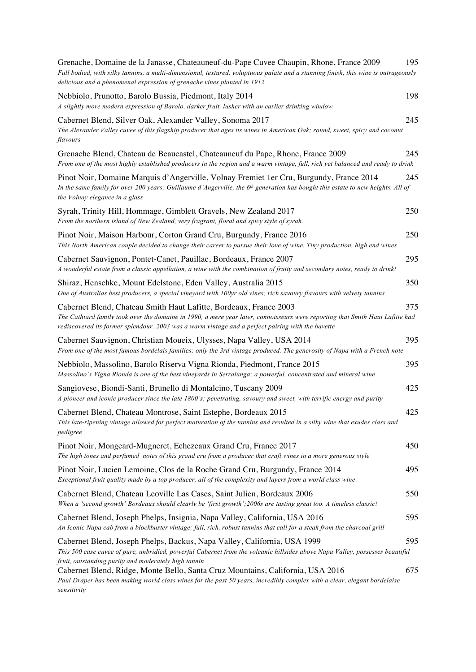| Grenache, Domaine de la Janasse, Chateauneuf-du-Pape Cuvee Chaupin, Rhone, France 2009<br>Full bodied, with silky tannins, a multi-dimensional, textured, voluptuous palate and a stunning finish, this wine is outrageously<br>delicious and a phenomenal expression of grenache vines planted in 1912 | 195 |
|---------------------------------------------------------------------------------------------------------------------------------------------------------------------------------------------------------------------------------------------------------------------------------------------------------|-----|
| Nebbiolo, Prunotto, Barolo Bussia, Piedmont, Italy 2014<br>A slightly more modern expression of Barolo, darker fruit, lusher with an earlier drinking window                                                                                                                                            | 198 |
| Cabernet Blend, Silver Oak, Alexander Valley, Sonoma 2017<br>The Alexander Valley cuvee of this flagship producer that ages its wines in American Oak; round, sweet, spicy and coconut<br>flavours                                                                                                      | 245 |
| Grenache Blend, Chateau de Beaucastel, Chateauneuf du Pape, Rhone, France 2009<br>From one of the most highly established producers in the region and a warm vintage, full, rich yet balanced and ready to drink                                                                                        | 245 |
| Pinot Noir, Domaine Marquis d'Angerville, Volnay Fremiet 1 er Cru, Burgundy, France 2014<br>In the same family for over 200 years; Guillaume d'Angerville, the $6th$ generation has bought this estate to new heights. All of<br>the Volnay elegance in a glass                                         | 245 |
| Syrah, Trinity Hill, Hommage, Gimblett Gravels, New Zealand 2017<br>From the northern island of New Zealand, very fragrant, floral and spicy style of syrah.                                                                                                                                            | 250 |
| Pinot Noir, Maison Harbour, Corton Grand Cru, Burgundy, France 2016<br>This North American couple decided to change their career to pursue their love of wine. Tiny production, high end wines                                                                                                          | 250 |
| Cabernet Sauvignon, Pontet-Canet, Pauillac, Bordeaux, France 2007<br>A wonderful estate from a classic appellation, a wine with the combination of fruity and secondary notes, ready to drink!                                                                                                          | 295 |
| Shiraz, Henschke, Mount Edelstone, Eden Valley, Australia 2015<br>One of Australias best producers, a special vineyard with 100yr old vines; rich savoury flavours with velvety tannins                                                                                                                 | 350 |
| Cabernet Blend, Chateau Smith Haut Lafitte, Bordeaux, France 2003<br>The Cathiard family took over the domaine in 1990, a mere year later, connoisseurs were reporting that Smith Haut Lafitte had<br>rediscovered its former splendour. 2003 was a warm vintage and a perfect pairing with the bavette | 375 |
| Cabernet Sauvignon, Christian Moueix, Ulysses, Napa Valley, USA 2014<br>From one of the most famous bordelais families; only the 3rd vintage produced. The generosity of Napa with a French note                                                                                                        | 395 |
| Nebbiolo, Massolino, Barolo Riserva Vigna Rionda, Piedmont, France 2015<br>Massolino's Vigna Rionda is one of the best vineyards in Serralunga; a powerful, concentrated and mineral wine                                                                                                               | 395 |
| Sangiovese, Biondi-Santi, Brunello di Montalcino, Tuscany 2009<br>A pioneer and iconic producer since the late 1800's; penetrating, savoury and sweet, with terrific energy and purity                                                                                                                  | 425 |
| Cabernet Blend, Chateau Montrose, Saint Estephe, Bordeaux 2015<br>This late-ripening vintage allowed for perfect maturation of the tannins and resulted in a silky wine that exudes class and<br>pedigree                                                                                               | 425 |
| Pinot Noir, Mongeard-Mugneret, Echezeaux Grand Cru, France 2017<br>The high tones and perfumed notes of this grand cru from a producer that craft wines in a more generous style                                                                                                                        | 450 |
| Pinot Noir, Lucien Lemoine, Clos de la Roche Grand Cru, Burgundy, France 2014<br>Exceptional fruit quality made by a top producer, all of the complexity and layers from a world class wine                                                                                                             | 495 |
| Cabernet Blend, Chateau Leoville Las Cases, Saint Julien, Bordeaux 2006<br>When a 'second growth' Bordeaux should clearly be 'first growth'; 2006s are tasting great too. A timeless classic!                                                                                                           | 550 |
| Cabernet Blend, Joseph Phelps, Insignia, Napa Valley, California, USA 2016<br>An Iconic Napa cab from a blockbuster vintage; full, rich, robust tannins that call for a steak from the charcoal grill                                                                                                   | 595 |
| Cabernet Blend, Joseph Phelps, Backus, Napa Valley, California, USA 1999<br>This 500 case cuvee of pure, unbridled, powerful Cabernet from the volcanic hillsides above Napa Valley, possesses beautiful                                                                                                | 595 |
| fruit, outstanding purity and moderately high tannin<br>Cabernet Blend, Ridge, Monte Bello, Santa Cruz Mountains, California, USA 2016<br>Paul Draper has been making world class wines for the past 50 years, incredibly complex with a clear, elegant bordelaise<br>sensitivity                       | 675 |